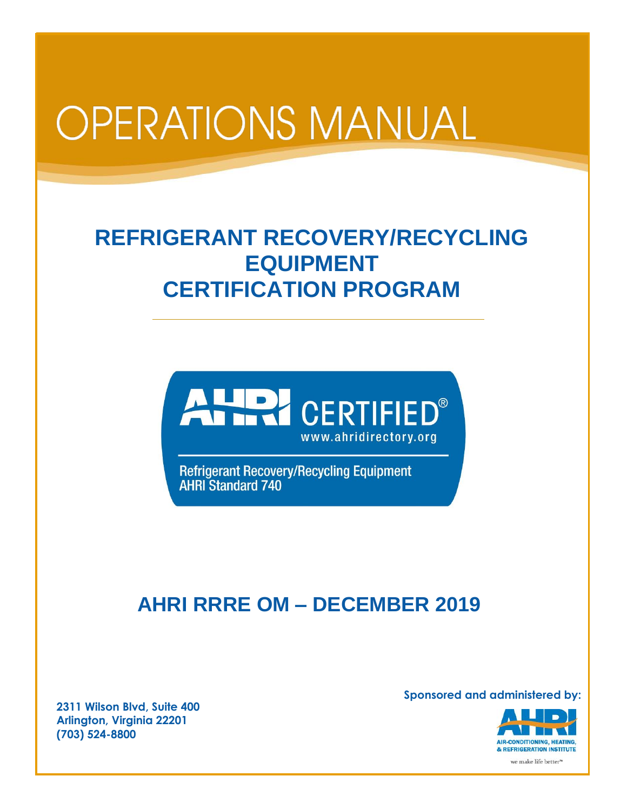# **OPERATIONS MANUAL**

## **REFRIGERANT RECOVERY/RECYCLING EQUIPMENT CERTIFICATION PROGRAM**



Refrigerant Recovery/Recycling Equipment<br>AHRI Standard 740

### **AHRI RRRE OM – DECEMBER 2019**

**2311 Wilson Blvd, Suite 400 Arlington, Virginia 22201 (703) 524-8800**

**Sponsored and administered by:**

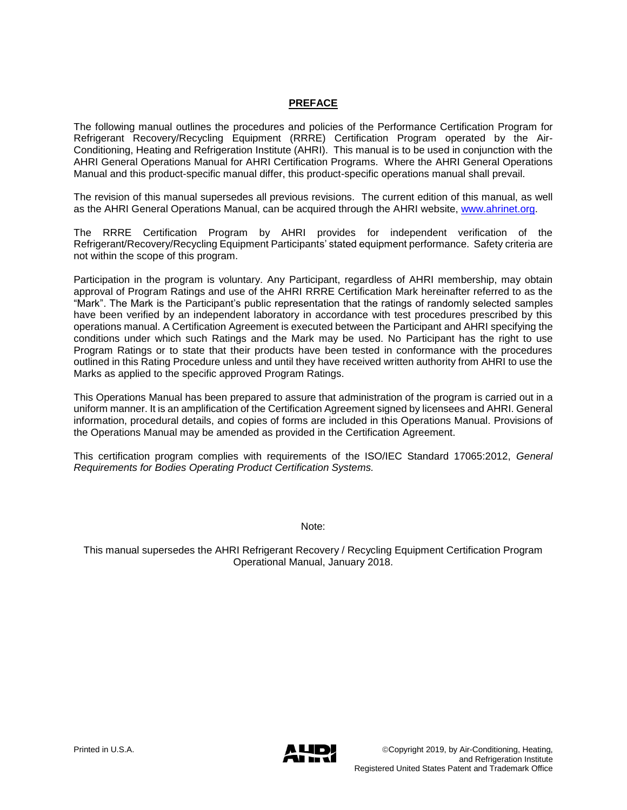#### **PREFACE**

The following manual outlines the procedures and policies of the Performance Certification Program for Refrigerant Recovery/Recycling Equipment (RRRE) Certification Program operated by the Air-Conditioning, Heating and Refrigeration Institute (AHRI). This manual is to be used in conjunction with the AHRI General Operations Manual for AHRI Certification Programs. Where the AHRI General Operations Manual and this product-specific manual differ, this product-specific operations manual shall prevail.

The revision of this manual supersedes all previous revisions. The current edition of this manual, as well as the AHRI General Operations Manual, can be acquired through the AHRI website, [www.ahrinet.org.](http://www.ahrinet.org/)

The RRRE Certification Program by AHRI provides for independent verification of the Refrigerant/Recovery/Recycling Equipment Participants' stated equipment performance. Safety criteria are not within the scope of this program.

Participation in the program is voluntary. Any Participant, regardless of AHRI membership, may obtain approval of Program Ratings and use of the AHRI RRRE Certification Mark hereinafter referred to as the "Mark". The Mark is the Participant's public representation that the ratings of randomly selected samples have been verified by an independent laboratory in accordance with test procedures prescribed by this operations manual. A Certification Agreement is executed between the Participant and AHRI specifying the conditions under which such Ratings and the Mark may be used. No Participant has the right to use Program Ratings or to state that their products have been tested in conformance with the procedures outlined in this Rating Procedure unless and until they have received written authority from AHRI to use the Marks as applied to the specific approved Program Ratings.

This Operations Manual has been prepared to assure that administration of the program is carried out in a uniform manner. It is an amplification of the Certification Agreement signed by licensees and AHRI. General information, procedural details, and copies of forms are included in this Operations Manual. Provisions of the Operations Manual may be amended as provided in the Certification Agreement.

This certification program complies with requirements of the ISO/IEC Standard 17065:2012, *General Requirements for Bodies Operating Product Certification Systems.* 

Note:

This manual supersedes the AHRI Refrigerant Recovery / Recycling Equipment Certification Program Operational Manual, January 2018.

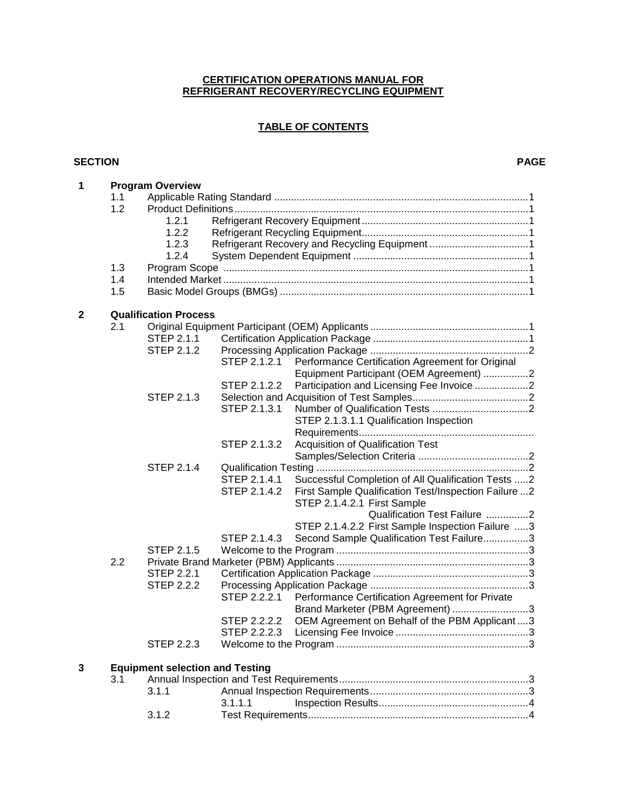#### **CERTIFICATION OPERATIONS MANUAL FOR REFRIGERANT RECOVERY/RECYCLING EQUIPMENT**

### **TABLE OF CONTENTS**

#### **SECTION PAGE**

| $\mathbf 1$  |                              | <b>Program Overview</b>                |              |                                                      |  |  |  |  |
|--------------|------------------------------|----------------------------------------|--------------|------------------------------------------------------|--|--|--|--|
|              | 1.1                          |                                        |              |                                                      |  |  |  |  |
|              | 1.2                          |                                        |              |                                                      |  |  |  |  |
|              |                              | 1.2.1                                  |              |                                                      |  |  |  |  |
|              |                              | 1.2.2                                  |              |                                                      |  |  |  |  |
|              |                              | 1.2.3                                  |              |                                                      |  |  |  |  |
|              |                              | 1.2.4                                  |              |                                                      |  |  |  |  |
|              | 1.3                          |                                        |              |                                                      |  |  |  |  |
|              | 1.4                          |                                        |              |                                                      |  |  |  |  |
|              | 1.5                          |                                        |              |                                                      |  |  |  |  |
|              |                              |                                        |              |                                                      |  |  |  |  |
| $\mathbf{2}$ | <b>Qualification Process</b> |                                        |              |                                                      |  |  |  |  |
|              | 2.1                          |                                        |              |                                                      |  |  |  |  |
|              |                              | STEP 2.1.1                             |              |                                                      |  |  |  |  |
|              |                              | STEP 2.1.2                             |              |                                                      |  |  |  |  |
|              |                              |                                        | STEP 2.1.2.1 | Performance Certification Agreement for Original     |  |  |  |  |
|              |                              |                                        |              | Equipment Participant (OEM Agreement) 2              |  |  |  |  |
|              |                              |                                        | STEP 2.1.2.2 | Participation and Licensing Fee Invoice 2            |  |  |  |  |
|              |                              | STEP 2.1.3                             |              |                                                      |  |  |  |  |
|              |                              |                                        | STEP 2.1.3.1 |                                                      |  |  |  |  |
|              |                              |                                        |              | STEP 2.1.3.1.1 Qualification Inspection              |  |  |  |  |
|              |                              |                                        |              |                                                      |  |  |  |  |
|              |                              |                                        | STEP 2.1.3.2 | Acquisition of Qualification Test                    |  |  |  |  |
|              |                              |                                        |              |                                                      |  |  |  |  |
|              |                              | STEP 2.1.4                             |              |                                                      |  |  |  |  |
|              |                              |                                        | STEP 2.1.4.1 | Successful Completion of All Qualification Tests 2   |  |  |  |  |
|              |                              |                                        | STEP 2.1.4.2 | First Sample Qualification Test/Inspection Failure 2 |  |  |  |  |
|              |                              |                                        |              | STEP 2.1.4.2.1 First Sample                          |  |  |  |  |
|              |                              |                                        |              | Qualification Test Failure 2                         |  |  |  |  |
|              |                              |                                        |              |                                                      |  |  |  |  |
|              |                              |                                        |              | STEP 2.1.4.2.2 First Sample Inspection Failure 3     |  |  |  |  |
|              |                              |                                        | STEP 2.1.4.3 | Second Sample Qualification Test Failure3            |  |  |  |  |
|              |                              | <b>STEP 2.1.5</b>                      |              |                                                      |  |  |  |  |
|              | 2.2                          |                                        |              |                                                      |  |  |  |  |
|              |                              | <b>STEP 2.2.1</b>                      |              |                                                      |  |  |  |  |
|              |                              | <b>STEP 2.2.2</b>                      |              |                                                      |  |  |  |  |
|              |                              |                                        | STEP 2.2.2.1 | Performance Certification Agreement for Private      |  |  |  |  |
|              |                              |                                        |              | Brand Marketer (PBM Agreement) 3                     |  |  |  |  |
|              |                              |                                        | STEP 2.2.2.2 | OEM Agreement on Behalf of the PBM Applicant 3       |  |  |  |  |
|              |                              |                                        | STEP 2.2.2.3 | Licensing Fee Invoice                                |  |  |  |  |
|              |                              | <b>STEP 2.2.3</b>                      |              |                                                      |  |  |  |  |
| 3            |                              | <b>Equipment selection and Testing</b> |              |                                                      |  |  |  |  |
|              | 3.1                          |                                        |              |                                                      |  |  |  |  |
|              |                              | 3.1.1                                  |              |                                                      |  |  |  |  |
|              |                              |                                        | 3.1.1.1      |                                                      |  |  |  |  |
|              |                              | 3.1.2                                  |              |                                                      |  |  |  |  |
|              |                              |                                        |              |                                                      |  |  |  |  |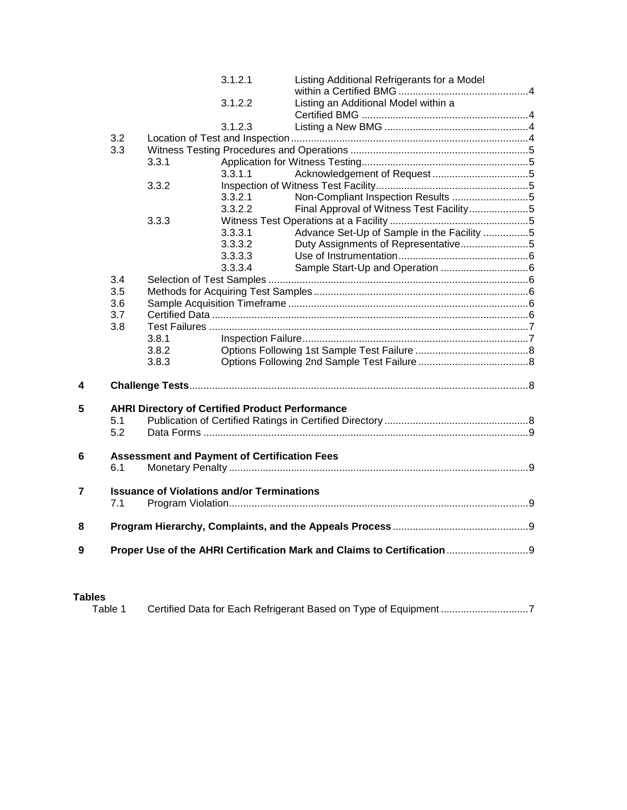|   |     |                                                   | 3.1.2.1                                             | Listing Additional Refrigerants for a Model                              |  |  |  |  |
|---|-----|---------------------------------------------------|-----------------------------------------------------|--------------------------------------------------------------------------|--|--|--|--|
|   |     |                                                   | 3.1.2.2                                             | Listing an Additional Model within a                                     |  |  |  |  |
|   |     |                                                   |                                                     |                                                                          |  |  |  |  |
|   |     |                                                   | 3.1.2.3                                             |                                                                          |  |  |  |  |
|   | 3.2 |                                                   |                                                     |                                                                          |  |  |  |  |
|   | 3.3 |                                                   |                                                     |                                                                          |  |  |  |  |
|   |     | 3.3.1                                             |                                                     |                                                                          |  |  |  |  |
|   |     |                                                   | 3.3.1.1                                             |                                                                          |  |  |  |  |
|   |     | 3.3.2                                             |                                                     |                                                                          |  |  |  |  |
|   |     |                                                   | 3.3.2.1                                             | Non-Compliant Inspection Results 5                                       |  |  |  |  |
|   |     |                                                   | 3.3.2.2                                             | Final Approval of Witness Test Facility5                                 |  |  |  |  |
|   |     | 3.3.3                                             |                                                     |                                                                          |  |  |  |  |
|   |     |                                                   | 3.3.3.1                                             | Advance Set-Up of Sample in the Facility 5                               |  |  |  |  |
|   |     |                                                   | 3.3.3.2                                             | Duty Assignments of Representative5                                      |  |  |  |  |
|   |     |                                                   | 3.3.3.3                                             |                                                                          |  |  |  |  |
|   |     |                                                   | 3.3.3.4                                             |                                                                          |  |  |  |  |
|   | 3.4 |                                                   |                                                     |                                                                          |  |  |  |  |
|   | 3.5 |                                                   |                                                     |                                                                          |  |  |  |  |
|   | 3.6 |                                                   |                                                     |                                                                          |  |  |  |  |
|   | 3.7 |                                                   |                                                     |                                                                          |  |  |  |  |
|   | 3.8 |                                                   |                                                     |                                                                          |  |  |  |  |
|   |     | 3.8.1                                             |                                                     |                                                                          |  |  |  |  |
|   |     | 3.8.2                                             |                                                     |                                                                          |  |  |  |  |
|   |     | 3.8.3                                             |                                                     |                                                                          |  |  |  |  |
| 4 |     |                                                   |                                                     |                                                                          |  |  |  |  |
|   |     |                                                   |                                                     |                                                                          |  |  |  |  |
| 5 |     |                                                   |                                                     | <b>AHRI Directory of Certified Product Performance</b>                   |  |  |  |  |
|   | 5.1 |                                                   |                                                     |                                                                          |  |  |  |  |
|   | 5.2 |                                                   |                                                     |                                                                          |  |  |  |  |
| 6 |     |                                                   | <b>Assessment and Payment of Certification Fees</b> |                                                                          |  |  |  |  |
|   | 6.1 |                                                   |                                                     |                                                                          |  |  |  |  |
|   |     |                                                   |                                                     |                                                                          |  |  |  |  |
| 7 |     | <b>Issuance of Violations and/or Terminations</b> |                                                     |                                                                          |  |  |  |  |
|   | 7.1 |                                                   |                                                     |                                                                          |  |  |  |  |
| 8 |     |                                                   |                                                     |                                                                          |  |  |  |  |
|   |     |                                                   |                                                     |                                                                          |  |  |  |  |
| 9 |     |                                                   |                                                     | Proper Use of the AHRI Certification Mark and Claims to Certification  9 |  |  |  |  |
|   |     |                                                   |                                                     |                                                                          |  |  |  |  |

### **Tables**

Table 1 Certified Data for Each Refrigerant Based on Type of Equipment ...............................7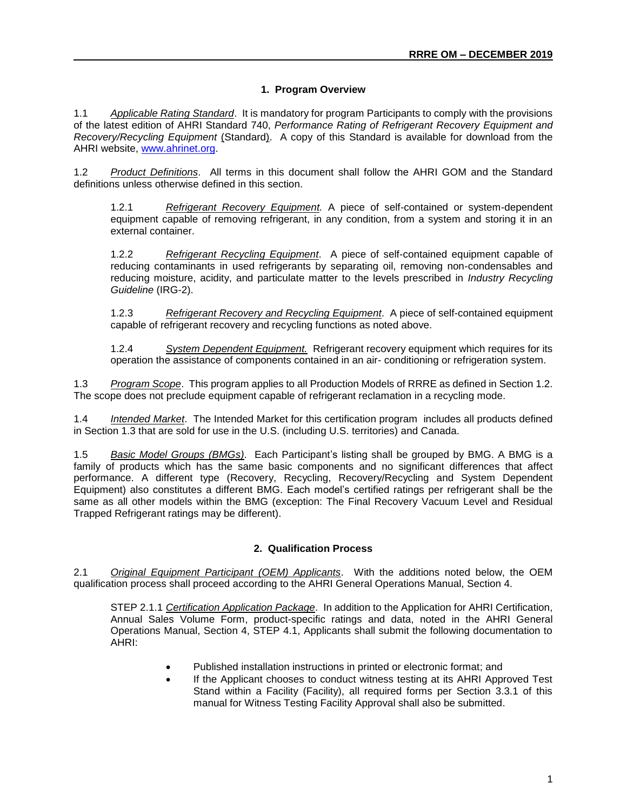#### **1. Program Overview**

1.1 *Applicable Rating Standard*. It is mandatory for program Participants to comply with the provisions of the latest edition of AHRI Standard 740, *Performance Rating of Refrigerant Recovery Equipment and Recovery/Recycling Equipment* (Standard). A copy of this Standard is available for download from the AHRI website, [www.ahrinet.org.](http://www.ahrinet.org/)

1.2 *Product Definitions*. All terms in this document shall follow the AHRI GOM and the Standard definitions unless otherwise defined in this section.

1.2.1 *Refrigerant Recovery Equipment.* A piece of self-contained or system-dependent equipment capable of removing refrigerant, in any condition, from a system and storing it in an external container.

1.2.2 *Refrigerant Recycling Equipment*. A piece of self-contained equipment capable of reducing contaminants in used refrigerants by separating oil, removing non-condensables and reducing moisture, acidity, and particulate matter to the levels prescribed in *Industry Recycling Guideline* (IRG-2).

1.2.3 *Refrigerant Recovery and Recycling Equipment*. A piece of self-contained equipment capable of refrigerant recovery and recycling functions as noted above.

1.2.4 *System Dependent Equipment.* Refrigerant recovery equipment which requires for its operation the assistance of components contained in an air- conditioning or refrigeration system.

1.3 *Program Scope*. This program applies to all Production Models of RRRE as defined in Section 1.2. The scope does not preclude equipment capable of refrigerant reclamation in a recycling mode.

1.4 *Intended Market*. The Intended Market for this certification program includes all products defined in Section 1.3 that are sold for use in the U.S. (including U.S. territories) and Canada.

1.5 *Basic Model Groups (BMGs)*. Each Participant's listing shall be grouped by BMG. A BMG is a family of products which has the same basic components and no significant differences that affect performance. A different type (Recovery, Recycling, Recovery/Recycling and System Dependent Equipment) also constitutes a different BMG. Each model's certified ratings per refrigerant shall be the same as all other models within the BMG (exception: The Final Recovery Vacuum Level and Residual Trapped Refrigerant ratings may be different).

#### **2. Qualification Process**

2.1 *Original Equipment Participant (OEM) Applicants*. With the additions noted below, the OEM qualification process shall proceed according to the AHRI General Operations Manual, Section 4.

STEP 2.1.1 *Certification Application Package*. In addition to the Application for AHRI Certification, Annual Sales Volume Form, product-specific ratings and data, noted in the AHRI General Operations Manual, Section 4, STEP 4.1, Applicants shall submit the following documentation to AHRI:

- Published installation instructions in printed or electronic format; and
- If the Applicant chooses to conduct witness testing at its AHRI Approved Test Stand within a Facility (Facility), all required forms per Section 3.3.1 of this manual for Witness Testing Facility Approval shall also be submitted.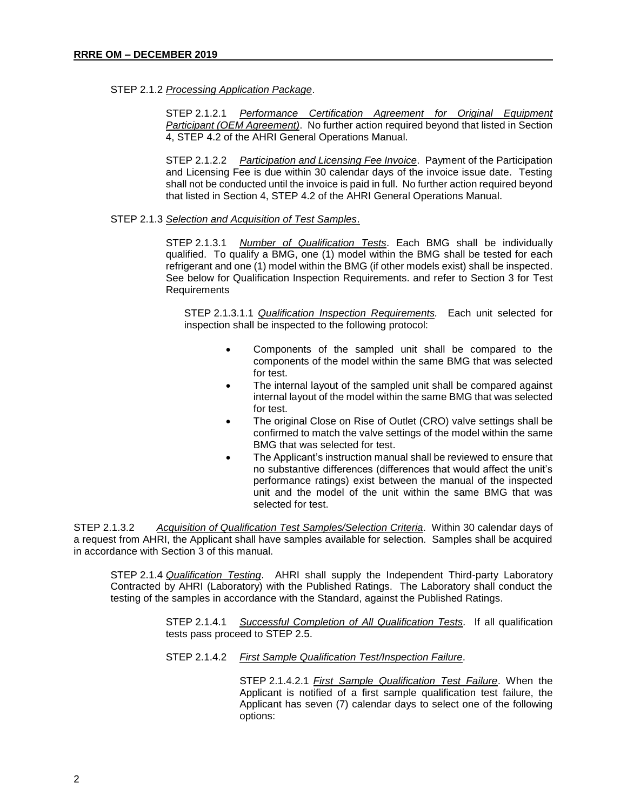#### STEP 2.1.2 *Processing Application Package*.

STEP 2.1.2.1 *Performance Certification Agreement for Original Equipment Participant (OEM Agreement)*. No further action required beyond that listed in Section 4, STEP 4.2 of the AHRI General Operations Manual.

STEP 2.1.2.2 *Participation and Licensing Fee Invoice*. Payment of the Participation and Licensing Fee is due within 30 calendar days of the invoice issue date. Testing shall not be conducted until the invoice is paid in full. No further action required beyond that listed in Section 4, STEP 4.2 of the AHRI General Operations Manual.

#### STEP 2.1.3 *Selection and Acquisition of Test Samples*.

STEP 2.1.3.1 *Number of Qualification Tests*. Each BMG shall be individually qualified. To qualify a BMG, one (1) model within the BMG shall be tested for each refrigerant and one (1) model within the BMG (if other models exist) shall be inspected. See below for Qualification Inspection Requirements. and refer to Section 3 for Test **Requirements** 

STEP 2.1.3.1.1 *Qualification Inspection Requirements.* Each unit selected for inspection shall be inspected to the following protocol:

- Components of the sampled unit shall be compared to the components of the model within the same BMG that was selected for test.
- The internal layout of the sampled unit shall be compared against internal layout of the model within the same BMG that was selected for test.
- The original Close on Rise of Outlet (CRO) valve settings shall be confirmed to match the valve settings of the model within the same BMG that was selected for test.
- The Applicant's instruction manual shall be reviewed to ensure that no substantive differences (differences that would affect the unit's performance ratings) exist between the manual of the inspected unit and the model of the unit within the same BMG that was selected for test.

STEP 2.1.3.2 *Acquisition of Qualification Test Samples/Selection Criteria*. Within 30 calendar days of a request from AHRI, the Applicant shall have samples available for selection. Samples shall be acquired in accordance with Section 3 of this manual.

STEP 2.1.4 *Qualification Testing*. AHRI shall supply the Independent Third-party Laboratory Contracted by AHRI (Laboratory) with the Published Ratings. The Laboratory shall conduct the testing of the samples in accordance with the Standard, against the Published Ratings.

> STEP 2.1.4.1 *Successful Completion of All Qualification Tests.* If all qualification tests pass proceed to STEP 2.5.

STEP 2.1.4.2 *First Sample Qualification Test/Inspection Failure*.

STEP 2.1.4.2.1 *First Sample Qualification Test Failure*. When the Applicant is notified of a first sample qualification test failure, the Applicant has seven (7) calendar days to select one of the following options: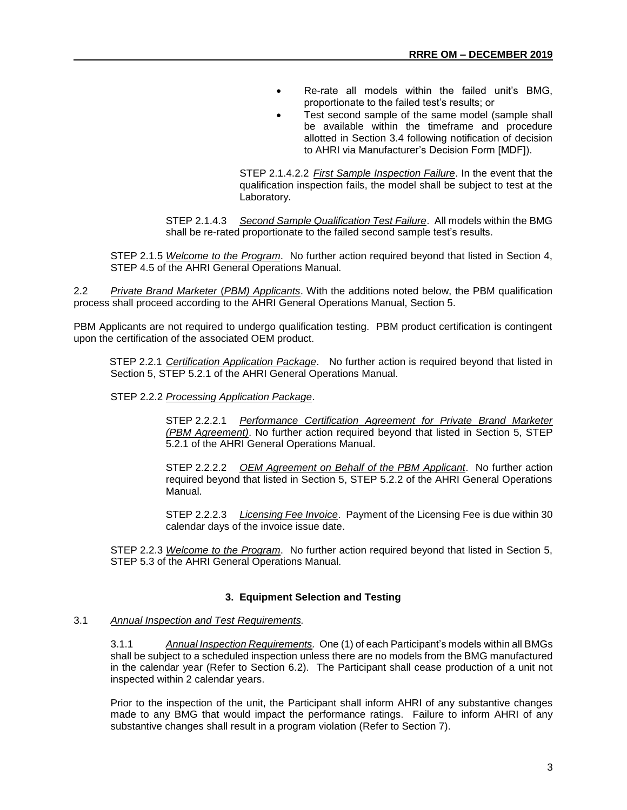- Re-rate all models within the failed unit's BMG, proportionate to the failed test's results; or
- Test second sample of the same model (sample shall be available within the timeframe and procedure allotted in Section 3.4 following notification of decision to AHRI via Manufacturer's Decision Form [MDF]).

STEP 2.1.4.2.2 *First Sample Inspection Failure*. In the event that the qualification inspection fails, the model shall be subject to test at the Laboratory.

STEP 2.1.4.3 *Second Sample Qualification Test Failure*. All models within the BMG shall be re-rated proportionate to the failed second sample test's results.

STEP 2.1.5 *Welcome to the Program*. No further action required beyond that listed in Section 4, STEP 4.5 of the AHRI General Operations Manual.

2.2 *Private Brand Marketer* (*PBM) Applicants*. With the additions noted below, the PBM qualification process shall proceed according to the AHRI General Operations Manual, Section 5.

PBM Applicants are not required to undergo qualification testing. PBM product certification is contingent upon the certification of the associated OEM product.

STEP 2.2.1 *Certification Application Package*. No further action is required beyond that listed in Section 5, STEP 5.2.1 of the AHRI General Operations Manual.

STEP 2.2.2 *Processing Application Package*.

STEP 2.2.2.1 *Performance Certification Agreement for Private Brand Marketer (PBM Agreement)*. No further action required beyond that listed in Section 5, STEP 5.2.1 of the AHRI General Operations Manual.

STEP 2.2.2.2 *OEM Agreement on Behalf of the PBM Applicant*. No further action required beyond that listed in Section 5, STEP 5.2.2 of the AHRI General Operations Manual.

STEP 2.2.2.3 *Licensing Fee Invoice*. Payment of the Licensing Fee is due within 30 calendar days of the invoice issue date.

STEP 2.2.3 *Welcome to the Program*. No further action required beyond that listed in Section 5, STEP 5.3 of the AHRI General Operations Manual.

#### **3. Equipment Selection and Testing**

#### 3.1 *Annual Inspection and Test Requirements.*

3.1.1 *Annual Inspection Requirements.* One (1) of each Participant's models within all BMGs shall be subject to a scheduled inspection unless there are no models from the BMG manufactured in the calendar year (Refer to Section 6.2). The Participant shall cease production of a unit not inspected within 2 calendar years.

Prior to the inspection of the unit, the Participant shall inform AHRI of any substantive changes made to any BMG that would impact the performance ratings. Failure to inform AHRI of any substantive changes shall result in a program violation (Refer to Section 7).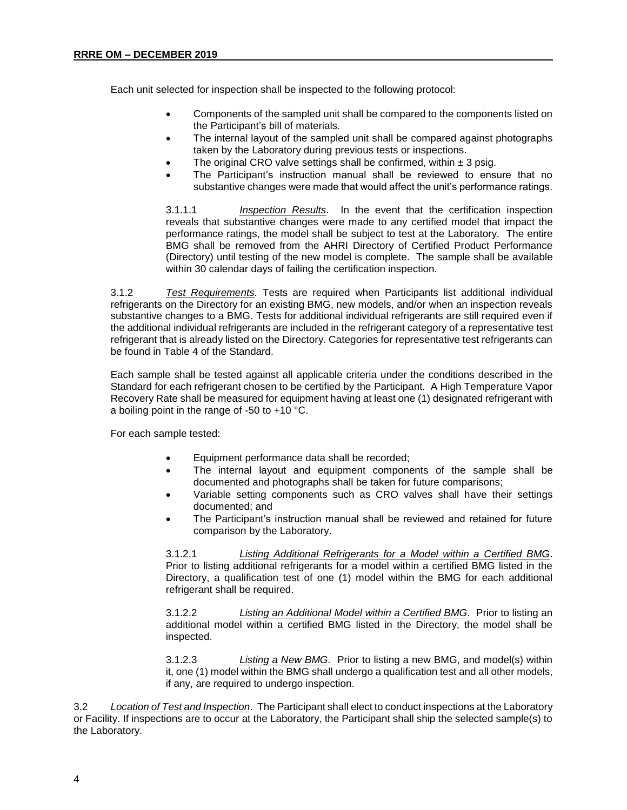Each unit selected for inspection shall be inspected to the following protocol:

- Components of the sampled unit shall be compared to the components listed on the Participant's bill of materials.
- The internal layout of the sampled unit shall be compared against photographs taken by the Laboratory during previous tests or inspections.
- The original CRO valve settings shall be confirmed, within  $\pm$  3 psig.
- The Participant's instruction manual shall be reviewed to ensure that no substantive changes were made that would affect the unit's performance ratings.

3.1.1.1 *Inspection Results*. In the event that the certification inspection reveals that substantive changes were made to any certified model that impact the performance ratings, the model shall be subject to test at the Laboratory. The entire BMG shall be removed from the AHRI Directory of Certified Product Performance (Directory) until testing of the new model is complete. The sample shall be available within 30 calendar days of failing the certification inspection.

3.1.2 *Test Requirements.* Tests are required when Participants list additional individual refrigerants on the Directory for an existing BMG, new models, and/or when an inspection reveals substantive changes to a BMG. Tests for additional individual refrigerants are still required even if the additional individual refrigerants are included in the refrigerant category of a representative test refrigerant that is already listed on the Directory. Categories for representative test refrigerants can be found in Table 4 of the Standard.

Each sample shall be tested against all applicable criteria under the conditions described in the Standard for each refrigerant chosen to be certified by the Participant. A High Temperature Vapor Recovery Rate shall be measured for equipment having at least one (1) designated refrigerant with a boiling point in the range of -50 to +10 °C.

For each sample tested:

- Equipment performance data shall be recorded;
- The internal layout and equipment components of the sample shall be documented and photographs shall be taken for future comparisons;
- Variable setting components such as CRO valves shall have their settings documented; and
- The Participant's instruction manual shall be reviewed and retained for future comparison by the Laboratory.

3.1.2.1 *Listing Additional Refrigerants for a Model within a Certified BMG*. Prior to listing additional refrigerants for a model within a certified BMG listed in the Directory, a qualification test of one (1) model within the BMG for each additional refrigerant shall be required.

3.1.2.2 *Listing an Additional Model within a Certified BMG*. Prior to listing an additional model within a certified BMG listed in the Directory, the model shall be inspected.

3.1.2.3 *Listing a New BMG.* Prior to listing a new BMG, and model(s) within it, one (1) model within the BMG shall undergo a qualification test and all other models, if any, are required to undergo inspection.

3.2 *Location of Test and Inspection*. The Participant shall elect to conduct inspections at the Laboratory or Facility. If inspections are to occur at the Laboratory, the Participant shall ship the selected sample(s) to the Laboratory.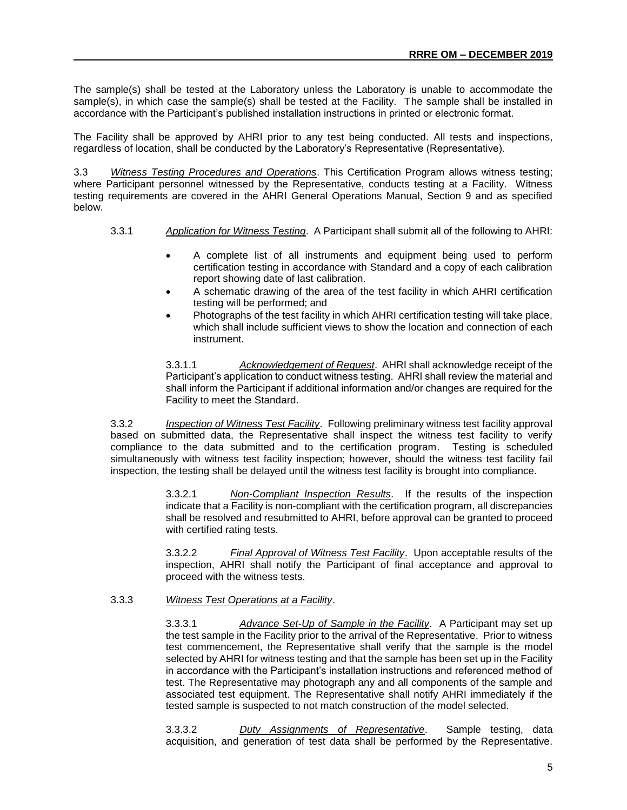The sample(s) shall be tested at the Laboratory unless the Laboratory is unable to accommodate the sample(s), in which case the sample(s) shall be tested at the Facility. The sample shall be installed in accordance with the Participant's published installation instructions in printed or electronic format.

The Facility shall be approved by AHRI prior to any test being conducted. All tests and inspections, regardless of location, shall be conducted by the Laboratory's Representative (Representative).

3.3 *Witness Testing Procedures and Operations*. This Certification Program allows witness testing; where Participant personnel witnessed by the Representative, conducts testing at a Facility. Witness testing requirements are covered in the AHRI General Operations Manual, Section 9 and as specified below.

- 3.3.1 *Application for Witness Testing*. A Participant shall submit all of the following to AHRI:
	- A complete list of all instruments and equipment being used to perform certification testing in accordance with Standard and a copy of each calibration report showing date of last calibration.
	- A schematic drawing of the area of the test facility in which AHRI certification testing will be performed; and
	- Photographs of the test facility in which AHRI certification testing will take place, which shall include sufficient views to show the location and connection of each instrument.

3.3.1.1 *Acknowledgement of Request*. AHRI shall acknowledge receipt of the Participant's application to conduct witness testing. AHRI shall review the material and shall inform the Participant if additional information and/or changes are required for the Facility to meet the Standard.

3.3.2 *Inspection of Witness Test Facility*. Following preliminary witness test facility approval based on submitted data, the Representative shall inspect the witness test facility to verify compliance to the data submitted and to the certification program. Testing is scheduled simultaneously with witness test facility inspection; however, should the witness test facility fail inspection, the testing shall be delayed until the witness test facility is brought into compliance.

> 3.3.2.1 *Non-Compliant Inspection Results*. If the results of the inspection indicate that a Facility is non-compliant with the certification program, all discrepancies shall be resolved and resubmitted to AHRI, before approval can be granted to proceed with certified rating tests.

> 3.3.2.2 *Final Approval of Witness Test Facility*. Upon acceptable results of the inspection, AHRI shall notify the Participant of final acceptance and approval to proceed with the witness tests.

3.3.3 *Witness Test Operations at a Facility*.

3.3.3.1 *Advance Set-Up of Sample in the Facility*. A Participant may set up the test sample in the Facility prior to the arrival of the Representative. Prior to witness test commencement, the Representative shall verify that the sample is the model selected by AHRI for witness testing and that the sample has been set up in the Facility in accordance with the Participant's installation instructions and referenced method of test. The Representative may photograph any and all components of the sample and associated test equipment. The Representative shall notify AHRI immediately if the tested sample is suspected to not match construction of the model selected.

3.3.3.2 *Duty Assignments of Representative*. Sample testing, data acquisition, and generation of test data shall be performed by the Representative.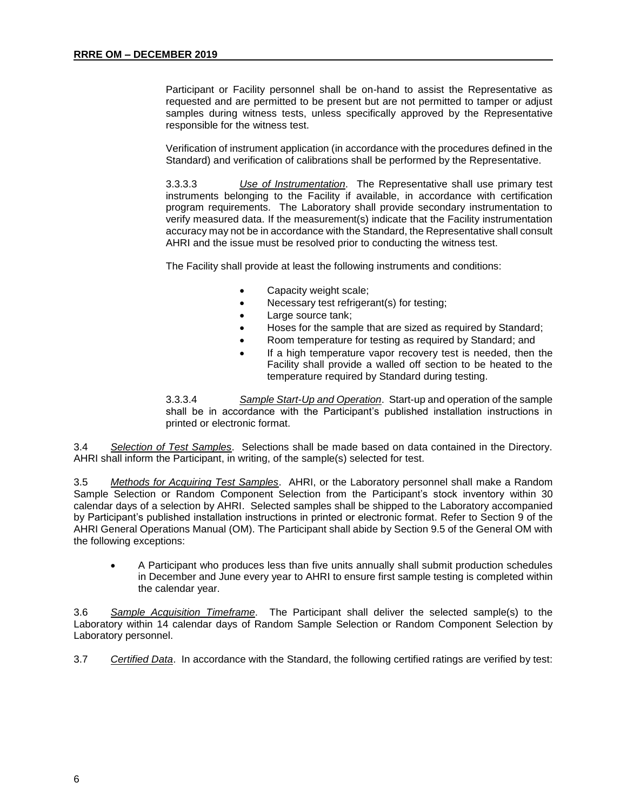Participant or Facility personnel shall be on-hand to assist the Representative as requested and are permitted to be present but are not permitted to tamper or adjust samples during witness tests, unless specifically approved by the Representative responsible for the witness test.

Verification of instrument application (in accordance with the procedures defined in the Standard) and verification of calibrations shall be performed by the Representative.

3.3.3.3 *Use of Instrumentation*. The Representative shall use primary test instruments belonging to the Facility if available, in accordance with certification program requirements. The Laboratory shall provide secondary instrumentation to verify measured data. If the measurement(s) indicate that the Facility instrumentation accuracy may not be in accordance with the Standard, the Representative shall consult AHRI and the issue must be resolved prior to conducting the witness test.

The Facility shall provide at least the following instruments and conditions:

- Capacity weight scale;
- Necessary test refrigerant(s) for testing;
- Large source tank;
- Hoses for the sample that are sized as required by Standard;
- Room temperature for testing as required by Standard; and
- If a high temperature vapor recovery test is needed, then the Facility shall provide a walled off section to be heated to the temperature required by Standard during testing.

3.3.3.4 *Sample Start-Up and Operation*. Start-up and operation of the sample shall be in accordance with the Participant's published installation instructions in printed or electronic format.

3.4 *Selection of Test Samples*. Selections shall be made based on data contained in the Directory. AHRI shall inform the Participant, in writing, of the sample(s) selected for test.

3.5 *Methods for Acquiring Test Samples*. AHRI, or the Laboratory personnel shall make a Random Sample Selection or Random Component Selection from the Participant's stock inventory within 30 calendar days of a selection by AHRI. Selected samples shall be shipped to the Laboratory accompanied by Participant's published installation instructions in printed or electronic format. Refer to Section 9 of the AHRI General Operations Manual (OM). The Participant shall abide by Section 9.5 of the General OM with the following exceptions:

• A Participant who produces less than five units annually shall submit production schedules in December and June every year to AHRI to ensure first sample testing is completed within the calendar year.

3.6 *Sample Acquisition Timeframe*. The Participant shall deliver the selected sample(s) to the Laboratory within 14 calendar days of Random Sample Selection or Random Component Selection by Laboratory personnel.

3.7 *Certified Data*. In accordance with the Standard, the following certified ratings are verified by test: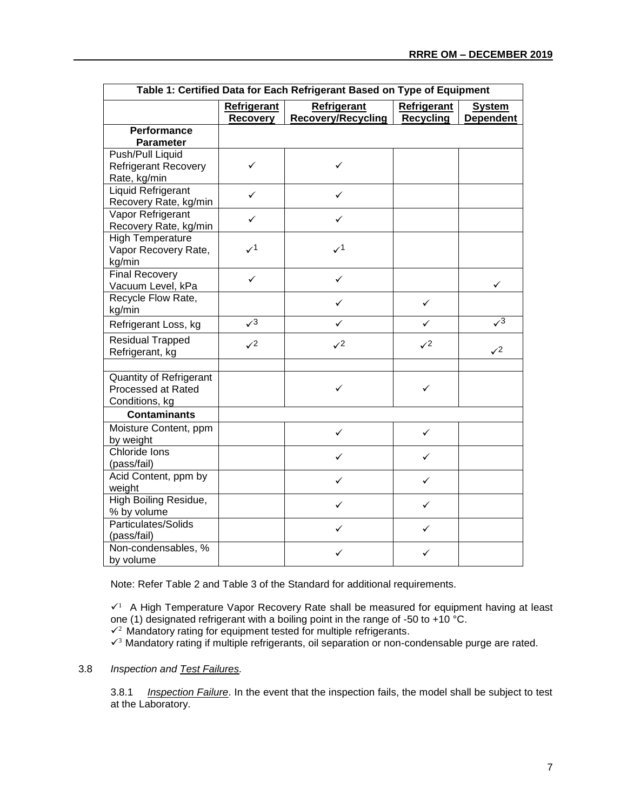| Table 1: Certified Data for Each Refrigerant Based on Type of Equipment |                                |                                          |                                        |                                   |  |  |  |  |
|-------------------------------------------------------------------------|--------------------------------|------------------------------------------|----------------------------------------|-----------------------------------|--|--|--|--|
|                                                                         | <b>Refrigerant</b><br>Recovery | Refrigerant<br><b>Recovery/Recycling</b> | <b>Refrigerant</b><br><b>Recycling</b> | <b>System</b><br><b>Dependent</b> |  |  |  |  |
| Performance                                                             |                                |                                          |                                        |                                   |  |  |  |  |
| <b>Parameter</b>                                                        |                                |                                          |                                        |                                   |  |  |  |  |
| Push/Pull Liquid                                                        |                                |                                          |                                        |                                   |  |  |  |  |
| Refrigerant Recovery                                                    | ✓                              | ✓                                        |                                        |                                   |  |  |  |  |
| Rate, kg/min                                                            |                                |                                          |                                        |                                   |  |  |  |  |
| <b>Liquid Refrigerant</b>                                               | ✓                              | ✓                                        |                                        |                                   |  |  |  |  |
| Recovery Rate, kg/min                                                   |                                |                                          |                                        |                                   |  |  |  |  |
| Vapor Refrigerant                                                       | ✓                              | ✓                                        |                                        |                                   |  |  |  |  |
| Recovery Rate, kg/min                                                   |                                |                                          |                                        |                                   |  |  |  |  |
| <b>High Temperature</b>                                                 |                                |                                          |                                        |                                   |  |  |  |  |
| Vapor Recovery Rate,                                                    | $\checkmark$                   | $\mathcal{V}^1$                          |                                        |                                   |  |  |  |  |
| kg/min                                                                  |                                |                                          |                                        |                                   |  |  |  |  |
| <b>Final Recovery</b>                                                   | ✓                              | ✓                                        |                                        |                                   |  |  |  |  |
| Vacuum Level, kPa                                                       |                                |                                          |                                        | ✓                                 |  |  |  |  |
| Recycle Flow Rate,                                                      |                                | ✓                                        | $\checkmark$                           |                                   |  |  |  |  |
| kg/min                                                                  |                                |                                          |                                        |                                   |  |  |  |  |
| Refrigerant Loss, kg                                                    | $\sqrt{3}$                     | ✓                                        | ✓                                      | $\sqrt{3}$                        |  |  |  |  |
| <b>Residual Trapped</b>                                                 | $\sqrt{2}$                     | $\mathcal{S}^2$                          | $\mathcal{S}^2$                        |                                   |  |  |  |  |
| Refrigerant, kg                                                         |                                |                                          |                                        | $\mathcal{S}^2$                   |  |  |  |  |
|                                                                         |                                |                                          |                                        |                                   |  |  |  |  |
| Quantity of Refrigerant                                                 |                                |                                          |                                        |                                   |  |  |  |  |
| Processed at Rated                                                      |                                | ✓                                        | ✓                                      |                                   |  |  |  |  |
| Conditions, kg                                                          |                                |                                          |                                        |                                   |  |  |  |  |
| <b>Contaminants</b>                                                     |                                |                                          |                                        |                                   |  |  |  |  |
| Moisture Content, ppm                                                   |                                | ✓                                        | $\checkmark$                           |                                   |  |  |  |  |
| by weight                                                               |                                |                                          |                                        |                                   |  |  |  |  |
| Chloride Ions                                                           |                                | ✓                                        | $\checkmark$                           |                                   |  |  |  |  |
| (pass/fail)                                                             |                                |                                          |                                        |                                   |  |  |  |  |
| Acid Content, ppm by                                                    |                                | ✓                                        | $\checkmark$                           |                                   |  |  |  |  |
| weight                                                                  |                                |                                          |                                        |                                   |  |  |  |  |
| <b>High Boiling Residue,</b>                                            |                                | ✓                                        | ✓                                      |                                   |  |  |  |  |
| % by volume                                                             |                                |                                          |                                        |                                   |  |  |  |  |
| <b>Particulates/Solids</b>                                              |                                | ✓                                        | ✓                                      |                                   |  |  |  |  |
| (pass/fail)                                                             |                                |                                          |                                        |                                   |  |  |  |  |
| Non-condensables, %                                                     |                                | ✓                                        | ✓                                      |                                   |  |  |  |  |
| by volume                                                               |                                |                                          |                                        |                                   |  |  |  |  |

Note: Refer Table 2 and Table 3 of the Standard for additional requirements.

✓<sup>1</sup> A High Temperature Vapor Recovery Rate shall be measured for equipment having at least one (1) designated refrigerant with a boiling point in the range of -50 to +10  $^{\circ}$ C.  $\sqrt{2}$  Mandatory rating for equipment tested for multiple refrigerants.

✓<sup>3</sup>Mandatory rating if multiple refrigerants, oil separation or non-condensable purge are rated.

#### 3.8 *Inspection and Test Failures.*

3.8.1 *Inspection Failure*. In the event that the inspection fails, the model shall be subject to test at the Laboratory.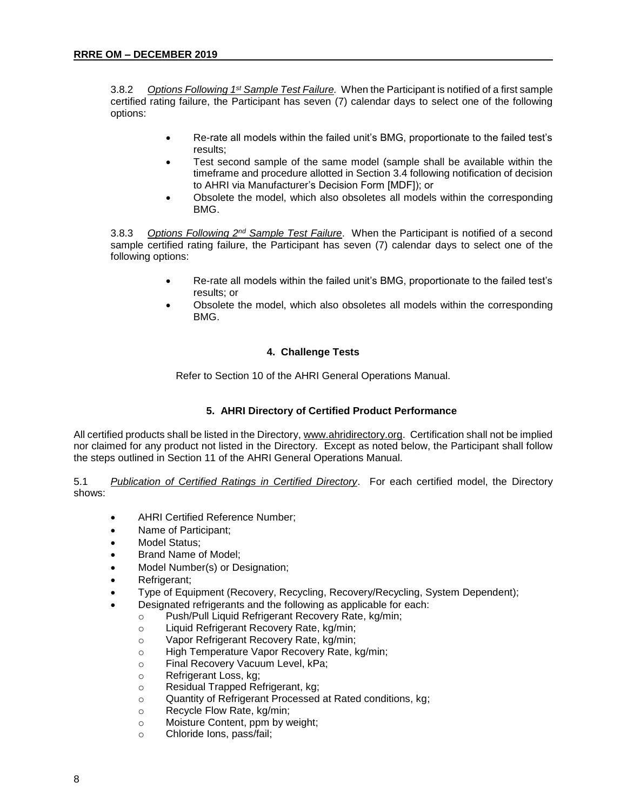3.8.2 *Options Following 1st Sample Test Failure.* When the Participant is notified of a first sample certified rating failure, the Participant has seven (7) calendar days to select one of the following options:

- Re-rate all models within the failed unit's BMG, proportionate to the failed test's results;
- Test second sample of the same model (sample shall be available within the timeframe and procedure allotted in Section 3.4 following notification of decision to AHRI via Manufacturer's Decision Form [MDF]); or
- Obsolete the model, which also obsoletes all models within the corresponding BMG.

3.8.3 *Options Following 2nd Sample Test Failure*. When the Participant is notified of a second sample certified rating failure, the Participant has seven (7) calendar days to select one of the following options:

- Re-rate all models within the failed unit's BMG, proportionate to the failed test's results; or
- Obsolete the model, which also obsoletes all models within the corresponding BMG.

#### **4. Challenge Tests**

Refer to Section 10 of the AHRI General Operations Manual.

#### **5. AHRI Directory of Certified Product Performance**

All certified products shall be listed in the Directory[, www.ahridirectory.org.](http://www.ahridirectory.org/) Certification shall not be implied nor claimed for any product not listed in the Directory. Except as noted below, the Participant shall follow the steps outlined in Section 11 of the AHRI General Operations Manual.

5.1 *Publication of Certified Ratings in Certified Directory*. For each certified model, the Directory shows:

- AHRI Certified Reference Number;
- Name of Participant;
- Model Status:
- Brand Name of Model;
- Model Number(s) or Designation;
- Refrigerant;
- Type of Equipment (Recovery, Recycling, Recovery/Recycling, System Dependent);
	- Designated refrigerants and the following as applicable for each:
		- o Push/Pull Liquid Refrigerant Recovery Rate, kg/min;
		- o Liquid Refrigerant Recovery Rate, kg/min;
		- o Vapor Refrigerant Recovery Rate, kg/min;
		- o High Temperature Vapor Recovery Rate, kg/min;
		- o Final Recovery Vacuum Level, kPa;
		- o Refrigerant Loss, kg;
		- o Residual Trapped Refrigerant, kg;
		- o Quantity of Refrigerant Processed at Rated conditions, kg;
		- o Recycle Flow Rate, kg/min;
		- o Moisture Content, ppm by weight;
		- o Chloride Ions, pass/fail;